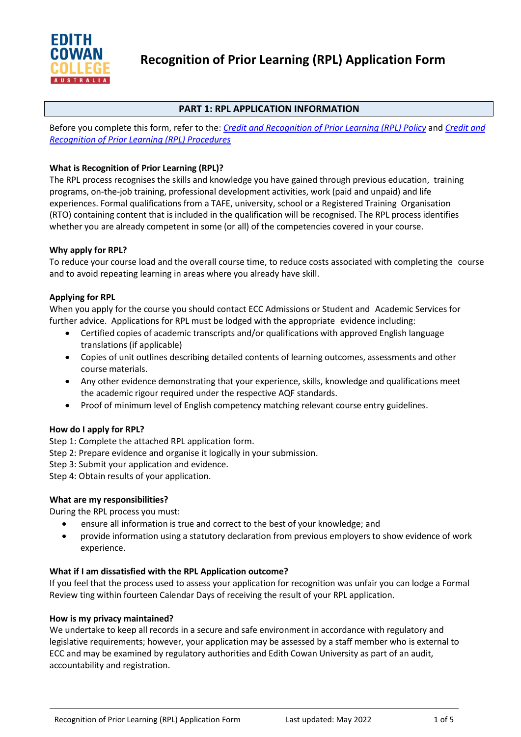

# **PART 1: RPL APPLICATION INFORMATION**

Before you complete this form, refer to the: *[Credit and Recognition of Prior Learning \(RPL\) Policy](https://4ba8a17f01f843446fde-df22fcb26686c8be7ff55766cd6a4144.ssl.cf6.rackcdn.com/73_ECC_Credit_and_Recognition_of_Prior_Learning_(RPL)_Policy.pdf)* and *[Credit and](https://4ba8a17f01f843446fde-df22fcb26686c8be7ff55766cd6a4144.ssl.cf6.rackcdn.com/73_ECC_Credit_and_Recognition_of_Prior_Learning_(RPL)_Procedures.pdf)  [Recognition of Prior Learning \(RPL\) Procedures](https://4ba8a17f01f843446fde-df22fcb26686c8be7ff55766cd6a4144.ssl.cf6.rackcdn.com/73_ECC_Credit_and_Recognition_of_Prior_Learning_(RPL)_Procedures.pdf)*

## **What is Recognition of Prior Learning (RPL)?**

The RPL process recognises the skills and knowledge you have gained through previous education, training programs, on-the-job training, professional development activities, work (paid and unpaid) and life experiences. Formal qualifications from a TAFE, university, school or a Registered Training Organisation (RTO) containing content that is included in the qualification will be recognised. The RPL process identifies whether you are already competent in some (or all) of the competencies covered in your course.

### **Why apply for RPL?**

To reduce your course load and the overall course time, to reduce costs associated with completing the course and to avoid repeating learning in areas where you already have skill.

### **Applying for RPL**

When you apply for the course you should contact ECC Admissions or Student and Academic Services for further advice. Applications for RPL must be lodged with the appropriate evidence including:

- Certified copies of academic transcripts and/or qualifications with approved English language translations (if applicable)
- Copies of unit outlines describing detailed contents of learning outcomes, assessments and other course materials.
- Any other evidence demonstrating that your experience, skills, knowledge and qualifications meet the academic rigour required under the respective AQF standards.
- Proof of minimum level of English competency matching relevant course entry guidelines.

#### **How do I apply for RPL?**

Step 1: Complete the attached RPL application form.

- Step 2: Prepare evidence and organise it logically in your submission.
- Step 3: Submit your application and evidence.

Step 4: Obtain results of your application.

#### **What are my responsibilities?**

During the RPL process you must:

- ensure all information is true and correct to the best of your knowledge; and
- provide information using a statutory declaration from previous employers to show evidence of work experience.

#### **What if I am dissatisfied with the RPL Application outcome?**

If you feel that the process used to assess your application for recognition was unfair you can lodge a Formal Review ting within fourteen Calendar Days of receiving the result of your RPL application.

#### **How is my privacy maintained?**

We undertake to keep all records in a secure and safe environment in accordance with regulatory and legislative requirements; however, your application may be assessed by a staff member who is external to ECC and may be examined by regulatory authorities and Edith Cowan University as part of an audit, accountability and registration.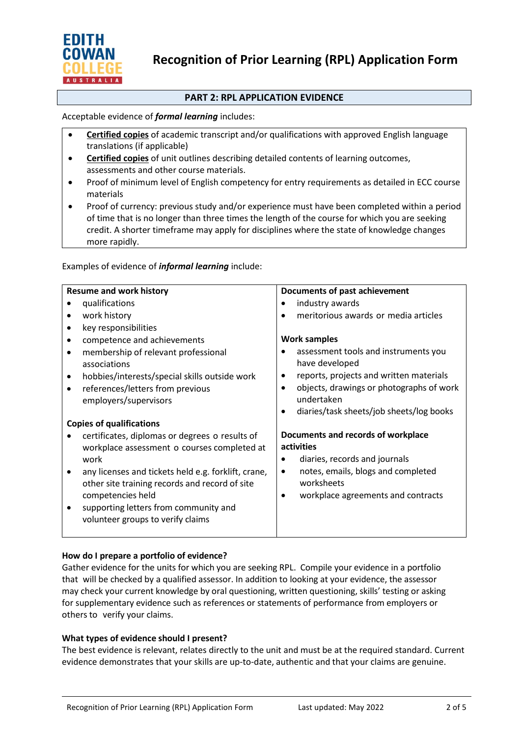

## **PART 2: RPL APPLICATION EVIDENCE**

### Acceptable evidence of *formal learning* includes:

- **Certified copies** of academic transcript and/or qualifications with approved English language translations (if applicable)
- **Certified copies** of unit outlines describing detailed contents of learning outcomes, assessments and other course materials.
- Proof of minimum level of English competency for entry requirements as detailed in ECC course materials
- Proof of currency: previous study and/or experience must have been completed within a period of time that is no longer than three times the length of the course for which you are seeking credit. A shorter timeframe may apply for disciplines where the state of knowledge changes more rapidly.

#### Examples of evidence of *informal learning* include:

| <b>Resume and work history</b>                                                                                                                               | Documents of past achievement                                                                                                        |
|--------------------------------------------------------------------------------------------------------------------------------------------------------------|--------------------------------------------------------------------------------------------------------------------------------------|
| qualifications                                                                                                                                               | industry awards                                                                                                                      |
| work history<br>٠                                                                                                                                            | meritorious awards or media articles                                                                                                 |
| key responsibilities<br>٠                                                                                                                                    |                                                                                                                                      |
| competence and achievements<br>$\bullet$                                                                                                                     | <b>Work samples</b>                                                                                                                  |
| membership of relevant professional<br>$\bullet$<br>associations                                                                                             | assessment tools and instruments you<br>have developed                                                                               |
| hobbies/interests/special skills outside work<br>٠                                                                                                           | reports, projects and written materials                                                                                              |
| references/letters from previous<br>$\bullet$<br>employers/supervisors                                                                                       | objects, drawings or photographs of work<br>undertaken<br>diaries/task sheets/job sheets/log books<br>٠                              |
| <b>Copies of qualifications</b>                                                                                                                              |                                                                                                                                      |
| certificates, diplomas or degrees o results of<br>workplace assessment o courses completed at<br>work<br>any licenses and tickets held e.g. forklift, crane, | Documents and records of workplace<br>activities<br>diaries, records and journals<br>notes, emails, blogs and completed<br>$\bullet$ |
| other site training records and record of site<br>competencies held                                                                                          | worksheets<br>workplace agreements and contracts<br>$\bullet$                                                                        |
| supporting letters from community and<br>volunteer groups to verify claims                                                                                   |                                                                                                                                      |

## **How do I prepare a portfolio of evidence?**

Gather evidence for the units for which you are seeking RPL. Compile your evidence in a portfolio that will be checked by a qualified assessor. In addition to looking at your evidence, the assessor may check your current knowledge by oral questioning, written questioning, skills' testing or asking for supplementary evidence such as references or statements of performance from employers or others to verify your claims.

#### **What types of evidence should I present?**

The best evidence is relevant, relates directly to the unit and must be at the required standard. Current evidence demonstrates that your skills are up-to-date, authentic and that your claims are genuine.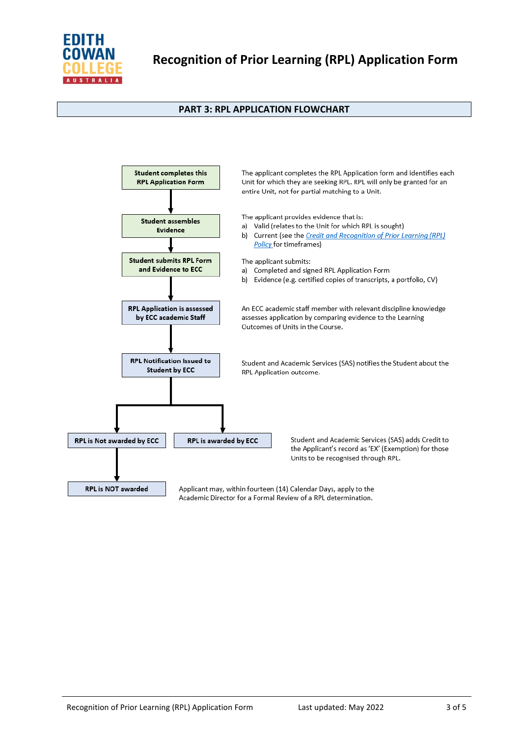

## **PART 3: RPL APPLICATION FLOWCHART**



Academic Director for a Formal Review of a RPL determination.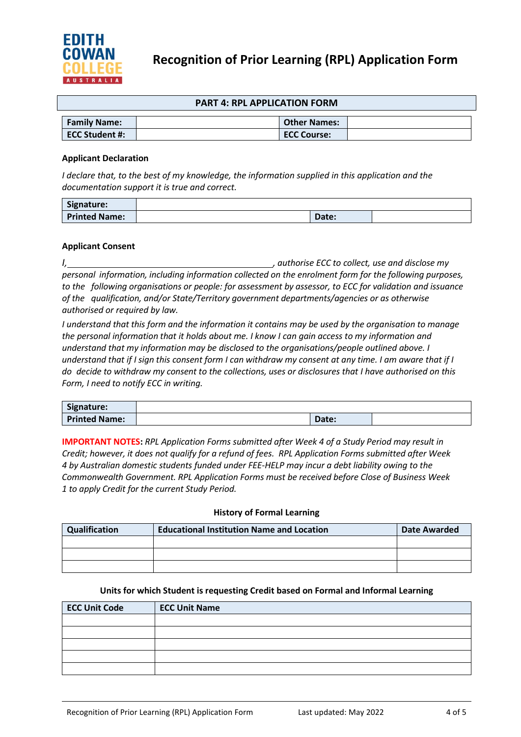

#### **PART 4: RPL APPLICATION FORM**

| <b>Family Name:</b> | <b>Other Names:</b> |  |
|---------------------|---------------------|--|
| ECC Student #:      | <b>ECC Course:</b>  |  |

#### **Applicant Declaration**

*I declare that, to the best of my knowledge, the information supplied in this application and the documentation support it is true and correct.*

| Signature:           |       |  |
|----------------------|-------|--|
| <b>Printed Name:</b> | Date: |  |

#### **Applicant Consent**

*I, , authorise ECC to collect, use and disclose my personal information, including information collected on the enrolment form for the following purposes, to the following organisations or people: for assessment by assessor, to ECC for validation and issuance of the qualification, and/or State/Territory government departments/agencies or as otherwise authorised or required by law.*

*I understand that this form and the information it contains may be used by the organisation to manage the personal information that it holds about me. I know I can gain access to my information and understand that my information may be disclosed to the organisations/people outlined above. I understand that if I sign this consent form I can withdraw my consent at any time. I am aware that if I do decide to withdraw my consent to the collections, uses or disclosures that I have authorised on this Form, I need to notify ECC in writing.*

| Signature:           |                            |  |
|----------------------|----------------------------|--|
| <b>Printed Name:</b> | nate <sup>"</sup><br>υσις. |  |

**IMPORTANT NOTES:** *RPL Application Forms submitted after Week 4 of a Study Period may result in Credit; however, it does not qualify for a refund of fees. RPL Application Forms submitted after Week 4 by Australian domestic students funded under FEE-HELP may incur a debt liability owing to the Commonwealth Government. RPL Application Forms must be received before Close of Business Week 1 to apply Credit for the current Study Period.*

#### **History of Formal Learning**

| Qualification | <b>Educational Institution Name and Location</b> | <b>Date Awarded</b> |
|---------------|--------------------------------------------------|---------------------|
|               |                                                  |                     |
|               |                                                  |                     |
|               |                                                  |                     |

#### **Units for which Student is requesting Credit based on Formal and Informal Learning**

| <b>ECC Unit Code</b> | <b>ECC Unit Name</b> |
|----------------------|----------------------|
|                      |                      |
|                      |                      |
|                      |                      |
|                      |                      |
|                      |                      |